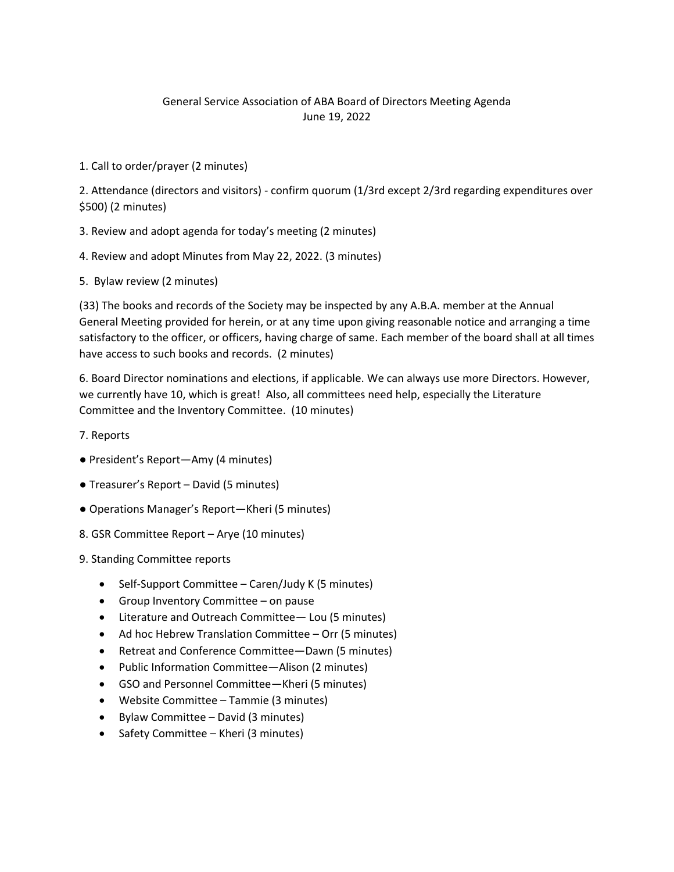## General Service Association of ABA Board of Directors Meeting Agenda June 19, 2022

1. Call to order/prayer (2 minutes)

2. Attendance (directors and visitors) - confirm quorum (1/3rd except 2/3rd regarding expenditures over \$500) (2 minutes)

- 3. Review and adopt agenda for today's meeting (2 minutes)
- 4. Review and adopt Minutes from May 22, 2022. (3 minutes)
- 5. Bylaw review (2 minutes)

(33) The books and records of the Society may be inspected by any A.B.A. member at the Annual General Meeting provided for herein, or at any time upon giving reasonable notice and arranging a time satisfactory to the officer, or officers, having charge of same. Each member of the board shall at all times have access to such books and records. (2 minutes)

6. Board Director nominations and elections, if applicable. We can always use more Directors. However, we currently have 10, which is great! Also, all committees need help, especially the Literature Committee and the Inventory Committee. (10 minutes)

- 7. Reports
- President's Report—Amy (4 minutes)
- Treasurer's Report David (5 minutes)
- Operations Manager's Report—Kheri (5 minutes)
- 8. GSR Committee Report Arye (10 minutes)
- 9. Standing Committee reports
	- Self-Support Committee Caren/Judy K (5 minutes)
	- Group Inventory Committee on pause
	- Literature and Outreach Committee— Lou (5 minutes)
	- Ad hoc Hebrew Translation Committee Orr (5 minutes)
	- Retreat and Conference Committee—Dawn (5 minutes)
	- Public Information Committee—Alison (2 minutes)
	- GSO and Personnel Committee—Kheri (5 minutes)
	- Website Committee Tammie (3 minutes)
	- Bylaw Committee David (3 minutes)
	- Safety Committee Kheri (3 minutes)